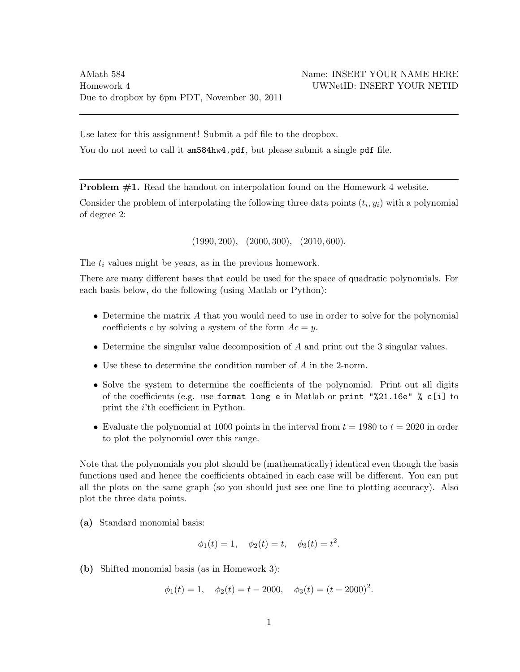Use latex for this assignment! Submit a pdf file to the dropbox.

You do not need to call it am584hw4.pdf, but please submit a single pdf file.

Problem #1. Read the handout on interpolation found on the Homework 4 website.

Consider the problem of interpolating the following three data points  $(t_i, y_i)$  with a polynomial of degree 2:

 $(1990, 200), (2000, 300), (2010, 600).$ 

The  $t_i$  values might be years, as in the previous homework.

There are many different bases that could be used for the space of quadratic polynomials. For each basis below, do the following (using Matlab or Python):

- Determine the matrix A that you would need to use in order to solve for the polynomial coefficients c by solving a system of the form  $Ac = y$ .
- Determine the singular value decomposition of A and print out the 3 singular values.
- Use these to determine the condition number of A in the 2-norm.
- Solve the system to determine the coefficients of the polynomial. Print out all digits of the coefficients (e.g. use format long e in Matlab or print "%21.16e" % c[i] to print the i'th coefficient in Python.
- Evaluate the polynomial at 1000 points in the interval from  $t = 1980$  to  $t = 2020$  in order to plot the polynomial over this range.

Note that the polynomials you plot should be (mathematically) identical even though the basis functions used and hence the coefficients obtained in each case will be different. You can put all the plots on the same graph (so you should just see one line to plotting accuracy). Also plot the three data points.

(a) Standard monomial basis:

$$
\phi_1(t) = 1, \quad \phi_2(t) = t, \quad \phi_3(t) = t^2.
$$

(b) Shifted monomial basis (as in Homework 3):

$$
\phi_1(t) = 1
$$
,  $\phi_2(t) = t - 2000$ ,  $\phi_3(t) = (t - 2000)^2$ .